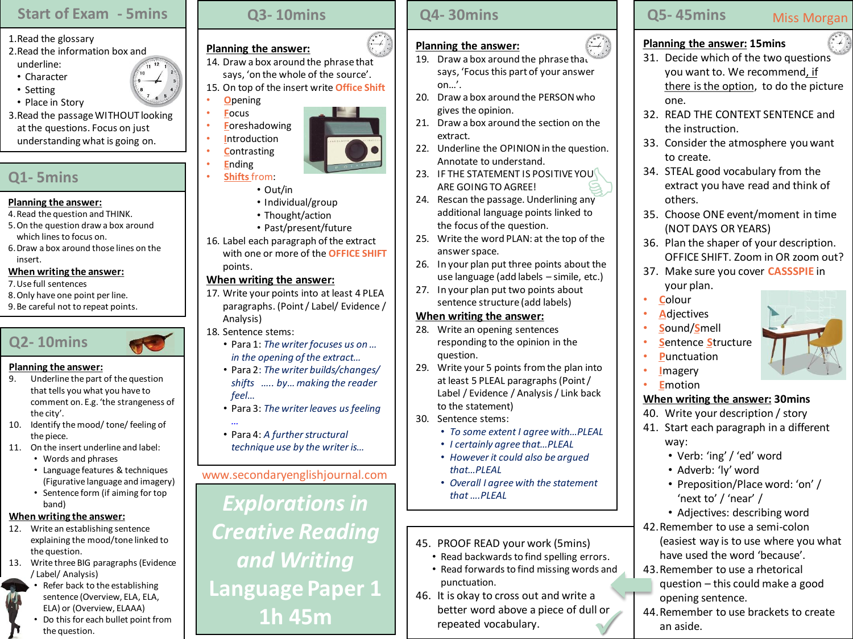## **Start of Exam - 5mins**

- 1.Read the glossary
- 2.Read the information box and underline:
- Character
- Setting
- Place in Story
- 3.Read the passage WITHOUT looking at the questions. Focus on just understanding what is going on.

# **Q1- 5mins**

### **Planning the answer:**

- 4.Read the question and THINK.
- 5.On the question draw a box around which lines to focus on.
- 6.Draw a box around those lines on the insert.

## **When writing the answer:**

- 7.Use full sentences
- 8.Only have one point per line.
- 9.Be careful not to repeat points.



## **Planning the answer:**

- 9. Underline the part of the question that tells you what you have to comment on. E.g. 'the strangeness of the city'.
- 10. Identify the mood/ tone/ feeling of the piece.
- 11. On the insert underline and label:
	- Words and phrases
	- Language features & techniques (Figurative language and imagery)
	- Sentence form (if aiming for top band)

## **When writing the answer:**

- 12. Write an establishing sentence explaining the mood/tone linked to the question.
- 13. Write three BIG paragraphs (Evidence / Label/ Analysis) Refer back to the establishing



sentence (Overview, ELA, ELA, ELA) or (Overview, ELAAA) • Do this for each bullet point from the question.

# **Q3- 10mins**

# **Planning the answer:**

- 14. Draw a box around the phrase that says, 'on the whole of the source'.
- 15. On top of the insert write **Office Shift** • **O**pening
- **F**ocus
- **F**oreshadowing
- **I**ntroduction
- **C**ontrasting • **E**nding



- **Shifts** from:
	- Out/in • Individual/group
	- Thought/action
	- Past/present/future
- 16. Label each paragraph of the extract with one or more of the **OFFICE SHIFT** points.

## **When writing the answer:**

- 17. Write your points into at least 4 PLEA paragraphs. (Point / Label/ Evidence / Analysis)
- 18. Sentence stems:
	- Para 1: *The writer focuses us on … in the opening of the extract…*
	- Para 2: *The writer builds/changes/ shifts ….. by… making the reader feel*…
	- Para 3: *The writer leaves us feeling*
	- *…* • Para 4: *A further structural technique use by the writer is…*

## www.secondaryenglishjournal.com

*Explorations in Creative Reading and Writing* **Language Paper 1 1h 45m**

## **Q4- 30mins**

## **Planning the answer:**

- 19. Draw a box around the phrase that says, 'Focus this part of your answer on…'.
- 20. Draw a box around the PERSON who gives the opinion.
- 21. Draw a box around the section on the extract.
- 22. Underline the OPINION in the question. Annotate to understand.
- 23. IF THE STATEMENT IS POSITIVE YOU ARE GOING TO AGREE!  $\bigotimes_{n}^{n}$
- 24. Rescan the passage. Underlining any additional language points linked to the focus of the question.
- 25. Write the word PLAN: at the top of the answer space.
- 26. In your plan put three points about the use language (add labels – simile, etc.)
- 27. In your plan put two points about sentence structure (add labels)

## **When writing the answer:**

- 28. Write an opening sentences responding to the opinion in the question.
- 29. Write your 5 points from the plan into at least 5 PLEAL paragraphs (Point / Label / Evidence / Analysis / Link back to the statement)
- 30. Sentence stems:
	- *To some extent I agree with…PLEAL*
	- *I certainly agree that…PLEAL*
	- *However it could also be argued that…PLEAL*
	- *Overall I agree with the statement that ….PLEAL*
- 45. PROOF READ your work (5mins)
	- Read backwards to find spelling errors.
	- Read forwards to find missing words and punctuation.
- 46. It is okay to cross out and write a better word above a piece of dull or repeated vocabulary.

## **Q5- 45mins**

# Miss Morgan

## **Planning the answer: 15mins**

- 31. Decide which of the two questions you want to. We recommend, if there is the option, to do the picture one.
- 32. READ THE CONTEXT SENTENCE and the instruction.
- 33. Consider the atmosphere you want to create.
- 34. STEAL good vocabulary from the extract you have read and think of others.
- 35. Choose ONE event/moment in time (NOT DAYS OR YEARS)
- 36. Plan the shaper of your description. OFFICE SHIFT. Zoom in OR zoom out?
- 37. Make sure you cover **CASSSPIE** in your plan.
- **C**olour
- **A**djectives
- **S**ound/**S**mell
- **S**entence **S**tructure
- **P**unctuation
- **I**magery
- **E**motion

# **When writing the answer: 30mins**

- 40. Write your description / story
- 41. Start each paragraph in a different way:
	- Verb: 'ing' / 'ed' word

43.Remember to use a rhetorical question – this could make a good

opening sentence.

an aside.

- Adverb: 'ly' word
- Preposition/Place word: 'on' / 'next to' / 'near' /
- Adjectives: describing word
- 42.Remember to use a semi-colon (easiest way is to use where you what have used the word 'because'.

44.Remember to use brackets to create